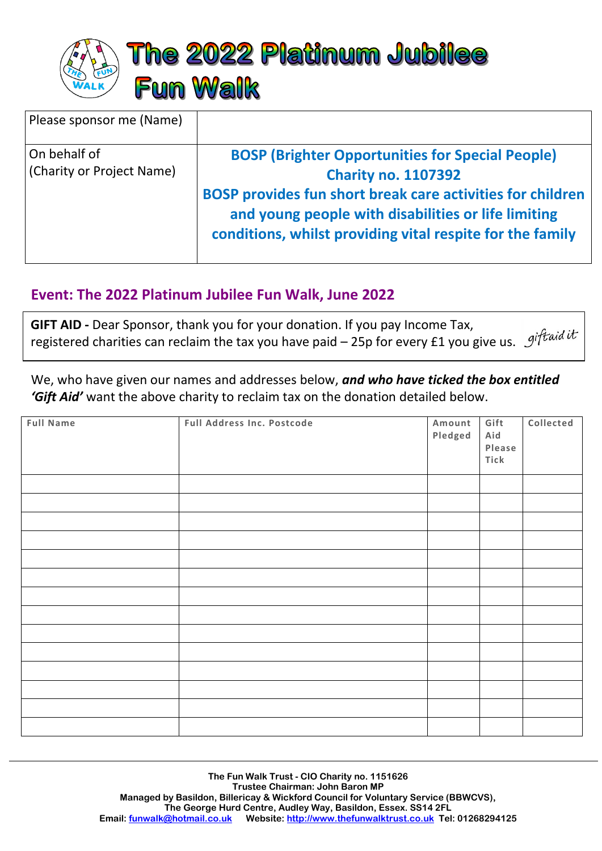

| Please sponsor me (Name)                  |                                                                                                                                                                                                                                                                         |
|-------------------------------------------|-------------------------------------------------------------------------------------------------------------------------------------------------------------------------------------------------------------------------------------------------------------------------|
| On behalf of<br>(Charity or Project Name) | <b>BOSP (Brighter Opportunities for Special People)</b><br><b>Charity no. 1107392</b><br>BOSP provides fun short break care activities for children<br>and young people with disabilities or life limiting<br>conditions, whilst providing vital respite for the family |

## j **Event: The 2022 Platinum Jubilee Fun Walk, June 2022**

**GIFT AID -** Dear Sponsor, thank you for your donation. If you pay Income Tax, registered charities can reclaim the tax you have paid – 25p for every £1 you give us. giftaid it

We, who have given our names and addresses below, *and who have ticked the box entitled 'Gift Aid'* want the above charity to reclaim tax on the donation detailed below.

| Full Address Inc. Postcode | Amount<br>Pledged | Gift<br>Aid<br>Please<br>Tick | Collected |
|----------------------------|-------------------|-------------------------------|-----------|
|                            |                   |                               |           |
|                            |                   |                               |           |
|                            |                   |                               |           |
|                            |                   |                               |           |
|                            |                   |                               |           |
|                            |                   |                               |           |
|                            |                   |                               |           |
|                            |                   |                               |           |
|                            |                   |                               |           |
|                            |                   |                               |           |
|                            |                   |                               |           |
|                            |                   |                               |           |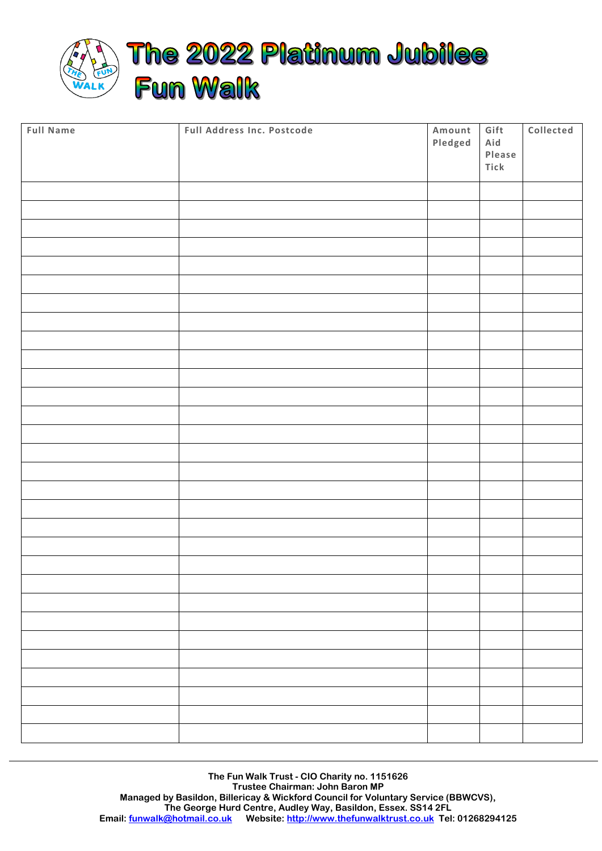

| <b>Full Name</b> | Full Address Inc. Postcode | Amount<br>Pledged | Gift<br>Aid<br>Please<br>Tick | Collected |
|------------------|----------------------------|-------------------|-------------------------------|-----------|
|                  |                            |                   |                               |           |
|                  |                            |                   |                               |           |
|                  |                            |                   |                               |           |
|                  |                            |                   |                               |           |
|                  |                            |                   |                               |           |
|                  |                            |                   |                               |           |
|                  |                            |                   |                               |           |
|                  |                            |                   |                               |           |
|                  |                            |                   |                               |           |
|                  |                            |                   |                               |           |
|                  |                            |                   |                               |           |
|                  |                            |                   |                               |           |
|                  |                            |                   |                               |           |
|                  |                            |                   |                               |           |
|                  |                            |                   |                               |           |
|                  |                            |                   |                               |           |
|                  |                            |                   |                               |           |
|                  |                            |                   |                               |           |
|                  |                            |                   |                               |           |
|                  |                            |                   |                               |           |
|                  |                            |                   |                               |           |
|                  |                            |                   |                               |           |
|                  |                            |                   |                               |           |
|                  |                            |                   |                               |           |
|                  |                            |                   |                               |           |
|                  |                            |                   |                               |           |
|                  |                            |                   |                               |           |
|                  |                            |                   |                               |           |
|                  |                            |                   |                               |           |
|                  |                            |                   |                               |           |